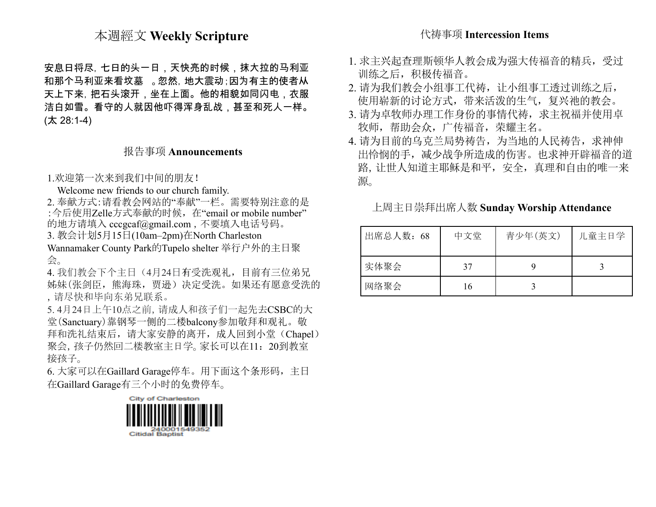## 本週經文 **Weekly Scripture**

安息日将尽,七日的头一日,天快亮的时候,抹大拉的马利亚 和那个马利亚来看坟墓 。忽然,地大震动;因为有主的使者从 天上下来,把石头滚开,坐在上面。他的相貌如同闪电,衣服 洁白如雪。看守的人就因他吓得浑身乱战,甚至和死人一样。 (太 28:1-4)

### 报告事项 **Announcements**

1.欢迎第一次来到我们中间的朋友!

Welcome new friends to our church family.

2. 奉献方式:请看教会网站的"奉献"一栏。需要特别注意的是 : 今后使用Zelle方式奉献的时候, 在"email or mobile number" 的地方请填入 [cccgcaf@gmail.com](mailto:cccgcaf@gmail.com) ,不要填入电话号码。

3. 教会计划5月15日(10am–2pm)在North Charleston

Wannamaker County Park的Tupelo shelter 举行户外的主日聚 会。

4. 我们教会下个主日(4月24日有受洗观礼,目前有三位弟兄 姊妹(张剑臣,熊海珠,贾逊)决定受洗。如果还有愿意受洗的 ,请尽快和毕向东弟兄联系。

5. 4月24日上午10点之前,请成人和孩子们一起先去CSBC的大 堂(Sanctuary)靠钢琴一侧的二楼balcony参加敬拜和观礼。敬 拜和洗礼结束后,请大家安静的离开,成人回到小堂(Chapel) 聚会,孩子仍然回二楼教室主日学。家长可以在11: 20到教室 接孩子。

6. 大家可以在Gaillard Garage停车。用下面这个条形码,主日 在Gaillard Garage有三个小时的免费停车。



## 代祷事项 **Intercession Items**

- 1. 求主兴起查理斯顿华人教会成为强大传福音的精兵,受过 训练之后,积极传福音。
- 2. 请为我们教会小组事工代祷,让小组事工透过训练之后, 使用崭新的讨论方式,带来活泼的生气,复兴祂的教会。
- 3. 请为卓牧师办理工作身份的事情代祷,求主祝福并使用卓 牧师,帮助会众,广传福音,荣耀主名。
- 4. 请为目前的乌克兰局势祷告,为当地的人民祷告,求神伸 出怜悯的手,减少战争所造成的伤害。也求神开辟福音的道 路,让世人知道主耶稣是和平,安全,真理和自由的唯一来 源。

上周主日崇拜出席人数 **Sunday Worship Attendance**

| 出席总人数: 68 | 中文堂 | 青少年(英文) | 儿童主日学 |
|-----------|-----|---------|-------|
| 实体聚会      | 37  |         |       |
| 网络聚会      | 16  |         |       |